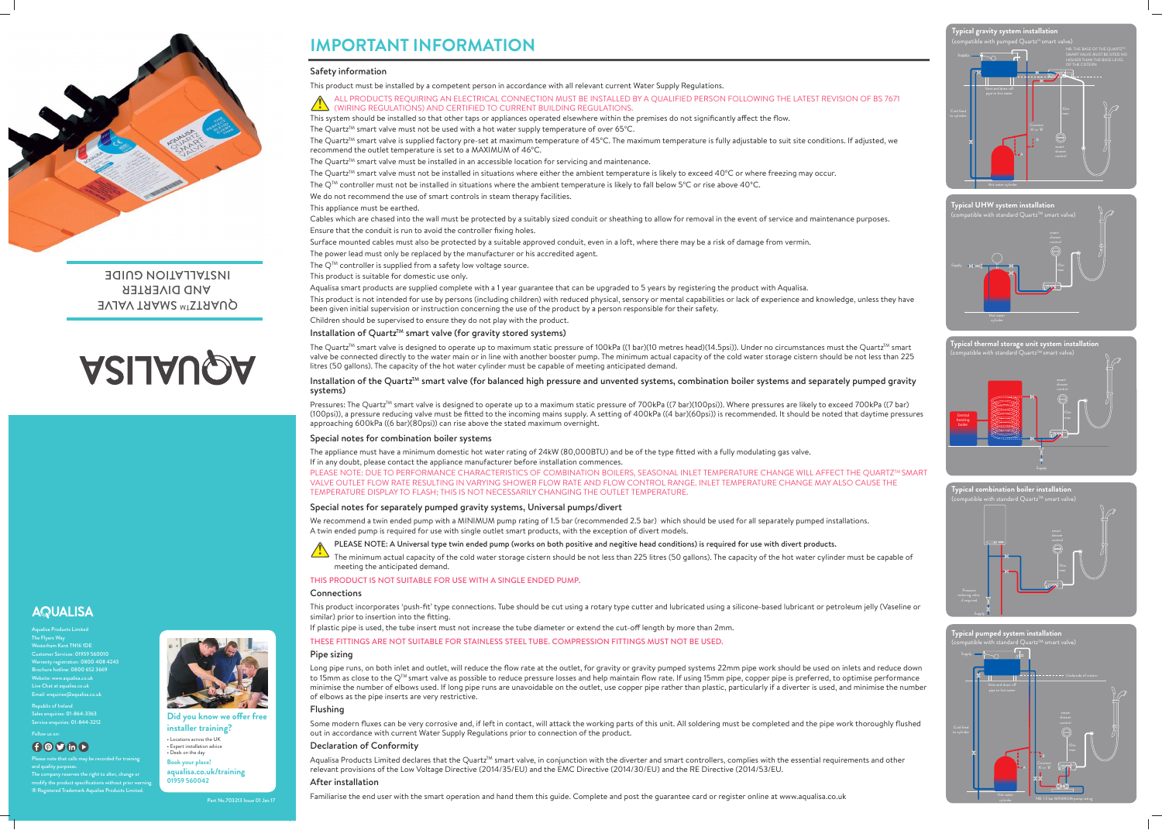



**Typical thermal storage unit system installation**  $\tanh$  standard Quartz<sup>TM</sup> smart valve)





## **Typical gravity system installation**



The Quartz<sup>™</sup> smart valve is supplied factory pre-set at maximum temperature of 45°C. The maximum temperature is fully adjustable to suit site conditions. If adjusted, we recommend the outlet temperature is set to a MAXIMUM of 46ºC.

## **IMPORTANT INFORMATION**

## Safety information

This product must be installed by a competent person in accordance with all relevant current Water Supply Regulations.

The Quartz<sup>™</sup> smart valve must be installed in an accessible location for servicing and maintenance. The Quartz<sup>™</sup> smart valve must not be installed in situations where either the ambient temperature is likely to exceed 40°C or where freezing may occur. The Q<sup>™</sup> controller must not be installed in situations where the ambient temperature is likely to fall below 5°C or rise above 40°C. We do not recommend the use of smart controls in steam therapy facilities. This appliance must be earthed.

The Quartz<sup>™</sup> smart valve is designed to operate up to maximum static pressure of 100kPa ((1 bar)(10 metres head)(14.5psi)). Under no circumstances must the Quartz™ smart valve be connected directly to the water main or in line with another booster pump. The minimum actual capacity of the cold water storage cistern should be not less than 225 litres (50 gallons). The capacity of the hot water cylinder must be capable of meeting anticipated demand.

## Installation of the Quartz<sup>TM</sup> smart valve (for balanced high pressure and unvented systems, combination boiler systems and separately pumped gravity systems)

Pressures: The Quartz™ smart valve is designed to operate up to a maximum static pressure of 700kPa ((7 bar)(100psi)). Where pressures are likely to exceed 700kPa ((7 bar) (100psi)), a pressure reducing valve must be fitted to the incoming mains supply. A setting of 400kPa ((4 bar)(60psi)) is recommended. It should be noted that daytime pressures approaching 600kPa ((6 bar)(80psi)) can rise above the stated maximum overnight.

Cables which are chased into the wall must be protected by a suitably sized conduit or sheathing to allow for removal in the event of service and maintenance purposes. Ensure that the conduit is run to avoid the controller fixing holes.

Surface mounted cables must also be protected by a suitable approved conduit, even in a loft, where there may be a risk of damage from vermin. The power lead must only be replaced by the manufacturer or his accredited agent.

The  $Q^{TM}$  controller is supplied from a safety low voltage source.

This product is suitable for domestic use only.

Aqualisa smart products are supplied complete with a 1 year guarantee that can be upgraded to 5 years by registering the product with Aqualisa. This product is not intended for use by persons (including children) with reduced physical, sensory or mental capabilities or lack of experience and knowledge, unless they have been given initial supervision or instruction concerning the use of the product by a person responsible for their safety. Children should be supervised to ensure they do not play with the product.

## Installation of Quartz<sup>TM</sup> smart valve (for gravity stored systems)

Aqualisa Products Limited declares that the Quartz<sup>TM</sup> smart valve, in conjunction with the diverter and smart controllers, complies with the essential requirements and other relevant provisions of the Low Voltage Directive (2014/35/EU) and the EMC Directive (2014/30/EU) and the RE Directive (2014/53/EU.



QUARTZTM SMART VALVE **AND DIVERTER TION GUIDE** 

# **ASIJAUQA**

## **AQUALISA**

## Follow us on:  $\bigoplus$   $\bigotimes$   $\bigoplus$   $\bigoplus$

ALL PRODUCTS REQUIRING AN ELECTRICAL CONNECTI0N MUST BE INSTALLED BY A QUALIFIED PERSON FOLLOWING THE LATEST REVISION OF BS 7671 (WIRING REGULATIONS) AND CERTIFIED TO CURRENT BUILDING REGULATIONS. This system should be installed so that other taps or appliances operated elsewhere within the premises do not significantly affect the flow. The Quartz<sup>™</sup> smart valve must not be used with a hot water supply temperature of over 65°C. **!**

## Special notes for combination boiler systems

The appliance must have a minimum domestic hot water rating of 24kW (80,000BTU) and be of the type fitted with a fully modulating gas valve. If in any doubt, please contact the appliance manufacturer before installation commences. PLEASE NOTE: DUE TO PERFORMANCE CHARACTERISTICS OF COMBINATION BOILERS, SEASONAL INLET TEMPERATURE CHANGE WILL AFFECT THE QUARTZ<sup>TM</sup> SMART VALVE OUTLET FLOW RATE RESULTING IN VARYING SHOWER FLOW RATE AND FLOW CONTROL RANGE. INLET TEMPERATURE CHANGE MAY ALSO CAUSE THE TEMPERATURE DISPLAY TO FLASH; THIS IS NOT NECESSARILY CHANGING THE OUTLET TEMPERATURE.

## Special notes for separately pumped gravity systems, Universal pumps/divert

We recommend a twin ended pump with a MINIMUM pump rating of 1.5 bar (recommended 2.5 bar) which should be used for all separately pumped installations. A twin ended pump is required for use with single outlet smart products, with the exception of divert models.

PLEASE NOTE: A Universal type twin ended pump (works on both positive and negitive head conditions) is required for use with divert products.

The minimum actual capacity of the cold water storage cistern should be not less than 225 litres (50 gallons). The capacity of the hot water cylinder must be capable of

meeting the anticipated demand.

THIS PRODUCT IS NOT SUITABLE FOR USE WITH A SINGLE ENDED PUMP.

## **Connections**

This product incorporates 'push-fit' type connections. Tube should be cut using a rotary type cutter and lubricated using a silicone-based lubricant or petroleum jelly (Vaseline or similar) prior to insertion into the fitting.

If plastic pipe is used, the tube insert must not increase the tube diameter or extend the cut-off length by more than 2mm.

THESE FITTINGS ARE NOT SUITABLE FOR STAINLESS STEEL TUBE. COMPRESSION FITTINGS MUST NOT BE USED.

## Pipe sizing

Long pipe runs, on both inlet and outlet, will reduce the flow rate at the outlet, for gravity or gravity pumped systems 22mm pipe work should be used on inlets and reduce down to 15mm as close to the Q<sup>TM</sup> smart valve as possible to reduce pressure losses and help maintain flow rate. If using 15mm pipe, copper pipe is preferred, to optimise performance minimise the number of elbows used. If long pipe runs are unavoidable on the outlet, use copper pipe rather than plastic, particularly if a diverter is used, and minimise the number of elbows as the pipe inserts are very restrictive.

## Flushing

Some modern fluxes can be very corrosive and, if left in contact, will attack the working parts of this unit. All soldering must be completed and the pipe work thoroughly flushed out in accordance with current Water Supply Regulations prior to connection of the product.

## Declaration of Conformity

## After installation

Familiarise the end user with the smart operation and hand them this guide. Complete and post the guarantee card or register online at www.aqualisa.co.uk



Aqualisa Products Limited The Flyers Way Westerham Kent TN16 1DE Customer Services: 01959 560010 Warranty registration: 0800 408 4243 Brochure hotline: 0800 652 3669 Website: www.aqualisa.co.uk Live Chat at aqualisa.co.uk Email: enquiries@aqualisa.co.uk

Republic of Ireland Sales enquiries: 01-864-3363 Service enquiries: 01-844-3212

Please note that calls may be recorded for training and quality purposes.

The company reserves the right to alter, change or modify the product specifications without prior warni ® Registered Trademark Aqualisa Products Limited.



**Did you know we offer free** 

**installer training?** • Locations across the UK • Expert installation advice • Deals on the day **Book your place! aqualisa.co.uk/training 01959 560042**